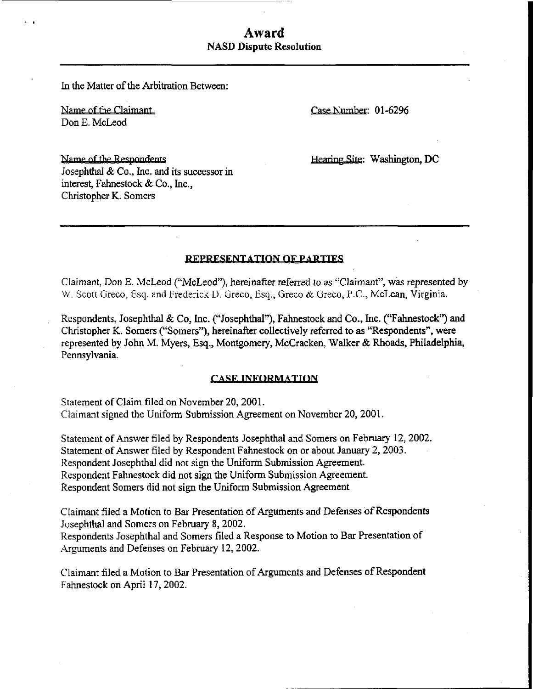# Award NASD Dispute Resolution

In the Matter of the Arbitration Between:

Name of the Claimant Number: 01-6296 Don E. McLeod

Name of the Respondents Josephthal & Co., Inc. and its successor in interest, Fahnestock & Co., Inc., Christopher K. Somers

Hearing Site: Washington, DC

### REPRESENTATION OF PARTIES

Claimant, Don E. McLeod ("McLeod"), hereinafter referred to as "Claimant", was represented by W. Scott Greco, Esq. and Frederick D. Greco, Esq., Greco & Greco, P.C., McLean, Virginia.

Respondents, Josephthal & Co, Inc. ("Josephthal"), Fahnestock and Co., Inc. ("Fahnestock") and Christopher K. Somers ("Somers"), hereinafter collectively referred to as "Respondents", were represented by John M. Myers, Esq., Montgomery, McCracken, Walker & Rhoads, Philadelphia, Pennsylvania.

#### **CASE INFORMATION**

Statement of Claim filed on November 20, 2001. Claimant signed the Uniform Submission Agreement on November 20, 2001 .

Statement of Answer filed by Respondents Josephthal and Somers on February 12, 2002. Statement of Answer filed by Respondent Fahnestock on or about January 2, 2003. Respondent Josephthal did not sign the Uniform Submission Agreement. Respondent Fahnestock did not sign the Uniform Submission Agreement. Respondent Somers did not sign the Uniform Submission Agreement

Claimant filed a Motion to Bar Presentation of Arguments and Defenses of Respondents Josephthal and Somers on February 8, 2002.

Respondents Josephthal and Somers filed a Response to Motion to Bar Presentation of .Arguments and Defenses on February 12, 2002.

Claimant filed a Motion to Bar Presentation of Arguments and Defenses of Respondent Fahnestock on April 17, 2002.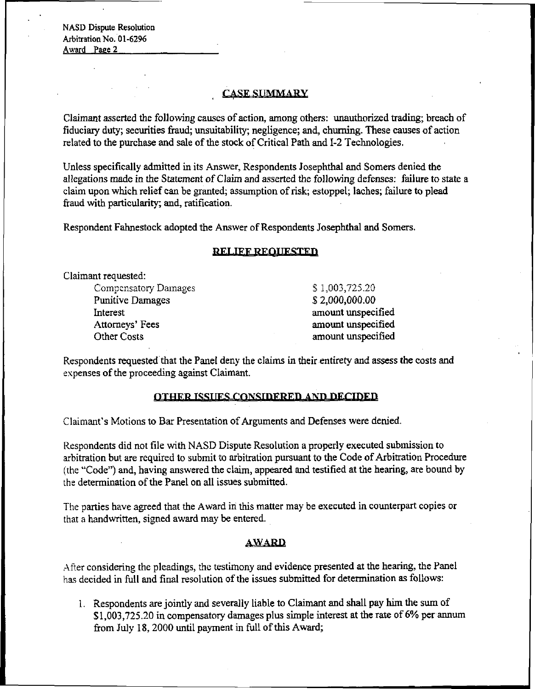NASD Dispute Resolution Arbitration No. 01-6296 Award Page 2

# **CASE SUMMARY**

Claimant asserted the following causes of action, among others: unauthorized trading; breach of fiduciary duty; securities fraud; unsuitability; negligence; and, churning. These causes of action related to the purchase and sale of the stock of Critical Path and 1-2 Technologies.

Unless specifically admitted in its Answer, Respondents Josephthal and Somers denied the allegations made in the Statement of Claim and asserted the following defenses: failure to state a claim upon which relief can be granted; assumption of risk; estoppel; laches; failure to plead fraud with particularity; and, ratification.

Respondent Fahnestock adopted the Answer of Respondents Josephthal and Somers.

### **RELIEF REQUESTED**

Claimant requested:

Compensatory Damages  $$ 1,003,725.20$ Punitive Damages S 2,000,000.00 Interest amount unspecified Attorneys' Fees amount unspecified Other Costs amount unspecified

Respondents requested that the Panel deny the claims in their entirety and assess the costs and expenses of the proceeding against Claimant.

# OTHER ISSUES CONSIDERED AND DECIDED

Claimant's Motions to Bar Presentation of Arguments and Defenses were denied.

Respondents did not file with NASD Dispute Resolution a properly executed submission to arbitration but are required to submit to arbitration pursuant to the Code of Arbitration Procedure (the "Code") and, having answered the claim, appeared and testified at the hearing, are bound by the determination of the Panel on all issues submitted.

The parties have agreed that the Award in this matter may be executed in counterpart copies or that a handwritten, signed award may be entered.

### **AWARD**

After considering the pleadings, the testimony and evidence presented at the hearing, the Panel has decided in full and final resolution of the issues submitted for determination as follows:

1. Respondents are jointly and severally liable to Claimant and shall pay him the sum of \$1,003,725.20 in compensatory damages plus simple interest at the rate of 6% per annum from July 18, 2000 until payment in full of this Award;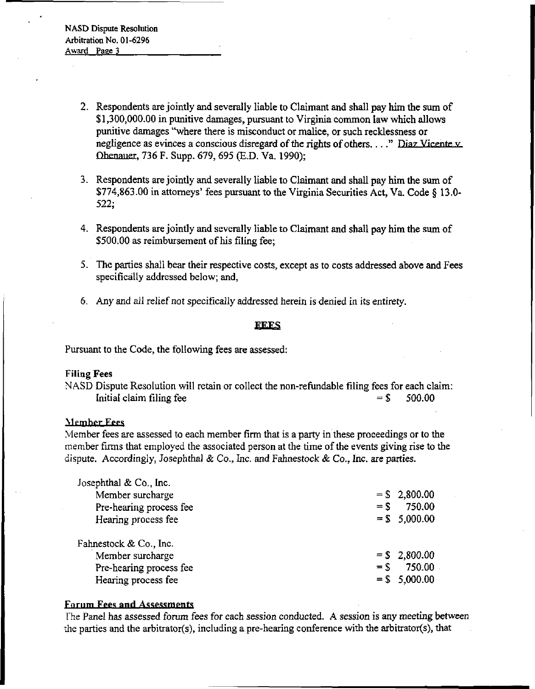- 2. Respondents are jointly and severally liable to Claimant and shall pay him the sum of \$1,300,000.00 in punitive damages, pursuant to Virginia common law which allows punitive damages "where there is misconduct or malice, or such recklessness or negligence as evinces a conscious disregard of the rights of others...." Diaz Vicente v Obenauer, 736 F. Supp. 679, 695 (E.D. Va. 1990);
- 3. Respondents are jointly and severally liable to Claimant and shall pay him the sum of \$774,863.00 in attorneys' fees pursuant to the Virginia Securities Act, Va. Code § 13.0- 522;
- 4. Respondents are jointly and severally liable to Claimant and shall pay him the sum of \$500.00 as reimbursement of his filing fee;
- 5. The parties shall bear their respective costs, except as to costs addressed above and Fees specifically addressed below; and,
- 6. Any and all relief not specifically addressed herein is denied in its entirety.

#### **FFFS**

Pursuant to the Code, the following fees are assessed:

## Filing Fees

NASD Dispute Resolution will retain or collect the non-refundable filing fees for each claim: Initial claim filing fee  $= $$  500.00

### Member Fees

Member fees are assessed to each member firm that is a party in these proceedings or to the member firms that employed the associated person at the time of the events giving rise to the dispute. Accordingly, Josephthal & Co., Inc. and Fahnestock & Co., Inc. are parties.

| Josephthal & Co., Inc.  |        |                 |
|-------------------------|--------|-----------------|
| Member surcharge        |        | $=$ \$2,800.00  |
| Pre-hearing process fee | $=$ S  | 750.00          |
| Hearing process fee     |        | $=$ \$ 5,000.00 |
| Fahnestock & Co., Inc.  |        |                 |
|                         |        |                 |
|                         |        |                 |
| Member surcharge        |        | $=$ \$ 2,800.00 |
| Pre-hearing process fee | $=$ \$ | 750.00          |

# Forum Fees and Assessments

The Panel has assessed forum fees for each session conducted. A session is any meeting between the parties and the arbitrator(s), including a pre-hearing conference with the arbitrator(s), that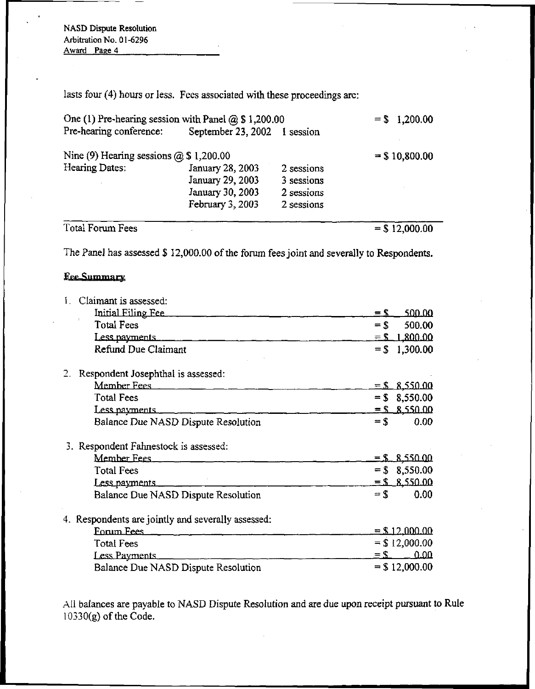NASD Dispute Resolution Arbitration No. 01-6296 Award Page 4

lasts four (4) hours or less. Fees associated with these proceedings are:

| One (1) Pre-hearing session with Panel $@$ \$ 1,200.00 | $= $1,200.00$                |            |                  |
|--------------------------------------------------------|------------------------------|------------|------------------|
| Pre-hearing conference:                                | September 23, 2002 1 session |            |                  |
| Nine (9) Hearing sessions $\omega$ \$ 1,200.00         | $=$ \$10,800.00              |            |                  |
| Hearing Dates:                                         | January 28, 2003             | 2 sessions |                  |
|                                                        | January 29, 2003             | 3 sessions |                  |
|                                                        | January 30, 2003             | 2 sessions |                  |
|                                                        | February 3, 2003             | 2 sessions |                  |
| Total Forum Fees                                       |                              |            | $=$ \$ 12,000.00 |

The Panel has assessed \$ 12,000.00 of the forum fees joint and severally to Respondents.

# Fee Summary

| Fee Summary                                        |                   |                  |
|----------------------------------------------------|-------------------|------------------|
| Claimant is assessed:                              |                   |                  |
| Initial Filing Fee                                 | $=$ S             | 500.00           |
| <b>Total Fees</b>                                  | $=$ \$            | 500.00           |
| Less payments                                      |                   | $=$ \$ 1.800.00  |
| <b>Refund Due Claimant</b>                         |                   | $=$ \$ 1,300.00  |
| 2. Respondent Josephthal is assessed:              |                   |                  |
|                                                    |                   | $=$ \$ 8,550.00  |
| <b>Total Fees</b>                                  |                   | $=$ \$ 8,550.00  |
| Less payments                                      |                   | $=$ \$ \$550.00  |
| Balance Due NASD Dispute Resolution                | $=$ \$            | 0.00             |
| 3. Respondent Fahnestock is assessed:              |                   |                  |
| Member Fees                                        |                   | $=$ \$ $8.55000$ |
| <b>Total Fees</b>                                  |                   | $=$ \$ 8,550.00  |
| Less payments                                      |                   | $=$ \$ 8.550.00  |
| Balance Due NASD Dispute Resolution                | $=$ \$            | 0.00             |
| 4. Respondents are jointly and severally assessed: |                   |                  |
| Forum Fees                                         |                   | $=$ \$ 12,000.00 |
| <b>Total Fees</b>                                  |                   | $=$ \$12,000.00  |
| Less Payments                                      | $=$ $\mathcal{S}$ | 0.00             |
| Balance Due NASD Dispute Resolution                |                   | $=$ \$12,000.00  |

All balances are payable to NASD Dispute Resolution and are due upon receipt pursuant to Rule  $10330(g)$  of the Code.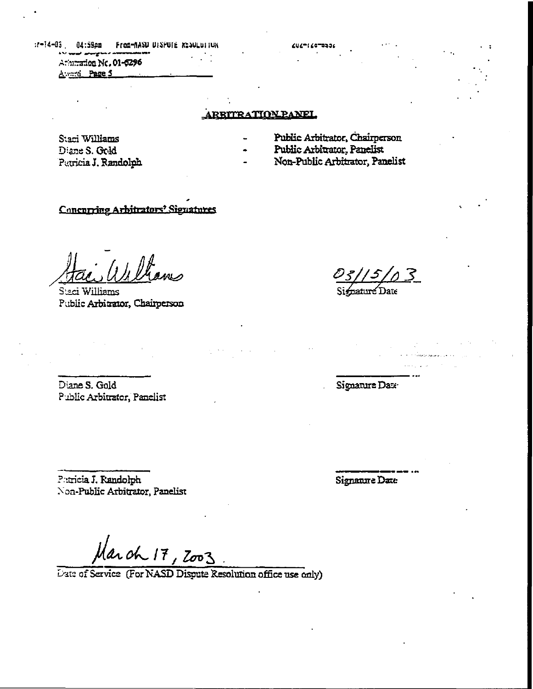:f-I4-Q3 . 04:59pffl FroBrtWSU UI3WIM:  $\star$  v and anyway  $\star$  - $\epsilon$ Arhi<del>ad</del>oa Nc. 01-6296 A vard Page 5

# ARRITRATION PANEL

Staci Williams Disne S. Odd 'Patricia J. Randolph

- Public Arbitrator, Chairperson
- Public Arbitrator., Panelist

CUZTI COTOBOL

Non-Public Arbitrator, Panelist

# Concurring Arbitrators' Signatures

Williams Public Arbitrator, Chairperson

3 Date |

Diane S. Gold Public Arbitrator, Panelist Signature Date

?:aricia J. Randolph Non-Public Arbitrator, Panelist Signarure Date

March 17, 2003.

Date of Service (For NASD Dispute Resolution office use only)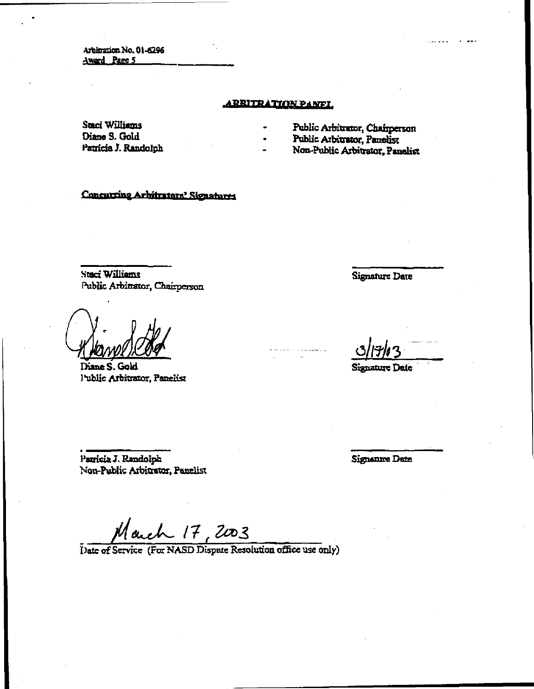Arbitration No. 01-6296 Award Page 5

### ARRITRATION PANEL

Staci Williams Diane S, Gold I'atricia J. Randolph

- Public Arbitraior, Chairperson
- Public Arbitrator, Panelist
- Non-Public Arbitrator, Panelist

Concurring Arbitrators' Signatures

Staci Williams Public Arbitrator, Chairperson

Diane S. Geld l\*ublic Arbitrator, Panelist

Signature Date

<u>ی</u>

Signature Date

Pamela J. Randolph Non-Public Arbitrator, Panelist Signature Date

17

Pate of Service (For NASD Dispute Resolution office use only)